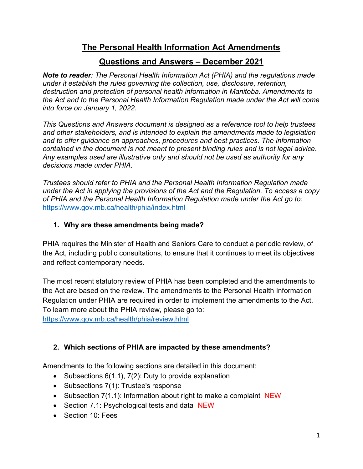# The Personal Health Information Act Amendments

# Questions and Answers – December 2021

Note to reader: The Personal Health Information Act (PHIA) and the regulations made under it establish the rules governing the collection, use, disclosure, retention, destruction and protection of personal health information in Manitoba. Amendments to the Act and to the Personal Health Information Regulation made under the Act will come into force on January 1, 2022.

This Questions and Answers document is designed as a reference tool to help trustees and other stakeholders, and is intended to explain the amendments made to legislation and to offer guidance on approaches, procedures and best practices. The information contained in the document is not meant to present binding rules and is not legal advice. Any examples used are illustrative only and should not be used as authority for any decisions made under PHIA.

Trustees should refer to PHIA and the Personal Health Information Regulation made under the Act in applying the provisions of the Act and the Regulation. To access a copy of PHIA and the Personal Health Information Regulation made under the Act go to: https://www.gov.mb.ca/health/phia/index.html

### 1. Why are these amendments being made?

PHIA requires the Minister of Health and Seniors Care to conduct a periodic review, of the Act, including public consultations, to ensure that it continues to meet its objectives and reflect contemporary needs.

The most recent statutory review of PHIA has been completed and the amendments to the Act are based on the review. The amendments to the Personal Health Information Regulation under PHIA are required in order to implement the amendments to the Act. To learn more about the PHIA review, please go to:

https://www.gov.mb.ca/health/phia/review.html

## 2. Which sections of PHIA are impacted by these amendments?

Amendments to the following sections are detailed in this document:

- Subsections  $6(1.1)$ ,  $7(2)$ : Duty to provide explanation
- Subsections 7(1): Trustee's response
- Subsection 7(1.1): Information about right to make a complaint NEW
- Section 7.1: Psychological tests and data NEW
- Section 10: Fees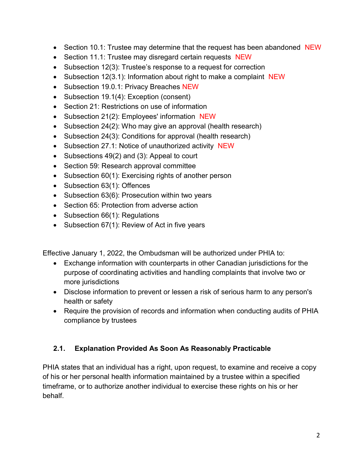- Section 10.1: Trustee may determine that the request has been abandoned NEW
- Section 11.1: Trustee may disregard certain requests NEW
- Subsection 12(3): Trustee's response to a request for correction
- Subsection 12(3.1): Information about right to make a complaint NEW
- Subsection 19.0.1: Privacy Breaches NEW
- Subsection 19.1(4): Exception (consent)
- Section 21: Restrictions on use of information
- Subsection 21(2): Employees' information NEW
- Subsection 24(2): Who may give an approval (health research)
- Subsection 24(3): Conditions for approval (health research)
- Subsection 27.1: Notice of unauthorized activity NEW
- Subsections 49(2) and (3): Appeal to court
- Section 59: Research approval committee
- Subsection 60(1): Exercising rights of another person
- Subsection 63(1): Offences
- Subsection 63(6): Prosecution within two years
- Section 65: Protection from adverse action
- Subsection 66(1): Regulations
- Subsection 67(1): Review of Act in five years

Effective January 1, 2022, the Ombudsman will be authorized under PHIA to:

- Exchange information with counterparts in other Canadian jurisdictions for the purpose of coordinating activities and handling complaints that involve two or more jurisdictions
- Disclose information to prevent or lessen a risk of serious harm to any person's health or safety
- Require the provision of records and information when conducting audits of PHIA compliance by trustees

#### 2.1. Explanation Provided As Soon As Reasonably Practicable

PHIA states that an individual has a right, upon request, to examine and receive a copy of his or her personal health information maintained by a trustee within a specified timeframe, or to authorize another individual to exercise these rights on his or her behalf.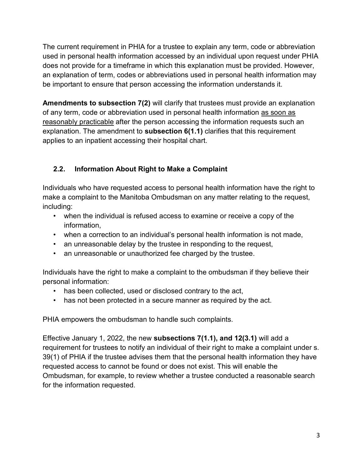The current requirement in PHIA for a trustee to explain any term, code or abbreviation used in personal health information accessed by an individual upon request under PHIA does not provide for a timeframe in which this explanation must be provided. However, an explanation of term, codes or abbreviations used in personal health information may be important to ensure that person accessing the information understands it.

Amendments to subsection 7(2) will clarify that trustees must provide an explanation of any term, code or abbreviation used in personal health information as soon as reasonably practicable after the person accessing the information requests such an explanation. The amendment to **subsection 6(1.1)** clarifies that this requirement applies to an inpatient accessing their hospital chart.

## 2.2. Information About Right to Make a Complaint

Individuals who have requested access to personal health information have the right to make a complaint to the Manitoba Ombudsman on any matter relating to the request, including:

- when the individual is refused access to examine or receive a copy of the information,
- when a correction to an individual's personal health information is not made,
- an unreasonable delay by the trustee in responding to the request,
- an unreasonable or unauthorized fee charged by the trustee.

Individuals have the right to make a complaint to the ombudsman if they believe their personal information:

- has been collected, used or disclosed contrary to the act,
- has not been protected in a secure manner as required by the act.

PHIA empowers the ombudsman to handle such complaints.

Effective January 1, 2022, the new subsections 7(1.1), and 12(3.1) will add a requirement for trustees to notify an individual of their right to make a complaint under s. 39(1) of PHIA if the trustee advises them that the personal health information they have requested access to cannot be found or does not exist. This will enable the Ombudsman, for example, to review whether a trustee conducted a reasonable search for the information requested.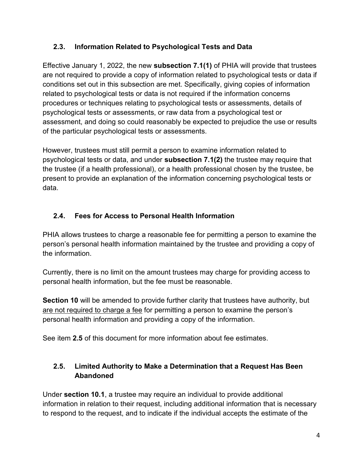### 2.3. Information Related to Psychological Tests and Data

Effective January 1, 2022, the new subsection 7.1(1) of PHIA will provide that trustees are not required to provide a copy of information related to psychological tests or data if conditions set out in this subsection are met. Specifically, giving copies of information related to psychological tests or data is not required if the information concerns procedures or techniques relating to psychological tests or assessments, details of psychological tests or assessments, or raw data from a psychological test or assessment, and doing so could reasonably be expected to prejudice the use or results of the particular psychological tests or assessments.

However, trustees must still permit a person to examine information related to psychological tests or data, and under subsection 7.1(2) the trustee may require that the trustee (if a health professional), or a health professional chosen by the trustee, be present to provide an explanation of the information concerning psychological tests or data.

## 2.4. Fees for Access to Personal Health Information

PHIA allows trustees to charge a reasonable fee for permitting a person to examine the person's personal health information maintained by the trustee and providing a copy of the information.

Currently, there is no limit on the amount trustees may charge for providing access to personal health information, but the fee must be reasonable.

Section 10 will be amended to provide further clarity that trustees have authority, but are not required to charge a fee for permitting a person to examine the person's personal health information and providing a copy of the information.

See item 2.5 of this document for more information about fee estimates.

### 2.5. Limited Authority to Make a Determination that a Request Has Been Abandoned

Under section 10.1, a trustee may require an individual to provide additional information in relation to their request, including additional information that is necessary to respond to the request, and to indicate if the individual accepts the estimate of the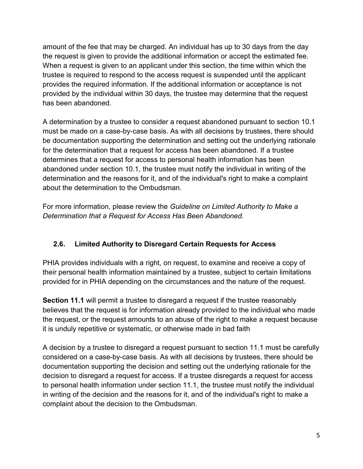amount of the fee that may be charged. An individual has up to 30 days from the day the request is given to provide the additional information or accept the estimated fee. When a request is given to an applicant under this section, the time within which the trustee is required to respond to the access request is suspended until the applicant provides the required information. If the additional information or acceptance is not provided by the individual within 30 days, the trustee may determine that the request has been abandoned.

A determination by a trustee to consider a request abandoned pursuant to section 10.1 must be made on a case-by-case basis. As with all decisions by trustees, there should be documentation supporting the determination and setting out the underlying rationale for the determination that a request for access has been abandoned. If a trustee determines that a request for access to personal health information has been abandoned under section 10.1, the trustee must notify the individual in writing of the determination and the reasons for it, and of the individual's right to make a complaint about the determination to the Ombudsman.

For more information, please review the Guideline on Limited Authority to Make a Determination that a Request for Access Has Been Abandoned.

#### 2.6. Limited Authority to Disregard Certain Requests for Access

PHIA provides individuals with a right, on request, to examine and receive a copy of their personal health information maintained by a trustee, subject to certain limitations provided for in PHIA depending on the circumstances and the nature of the request.

Section 11.1 will permit a trustee to disregard a request if the trustee reasonably believes that the request is for information already provided to the individual who made the request, or the request amounts to an abuse of the right to make a request because it is unduly repetitive or systematic, or otherwise made in bad faith

A decision by a trustee to disregard a request pursuant to section 11.1 must be carefully considered on a case-by-case basis. As with all decisions by trustees, there should be documentation supporting the decision and setting out the underlying rationale for the decision to disregard a request for access. If a trustee disregards a request for access to personal health information under section 11.1, the trustee must notify the individual in writing of the decision and the reasons for it, and of the individual's right to make a complaint about the decision to the Ombudsman.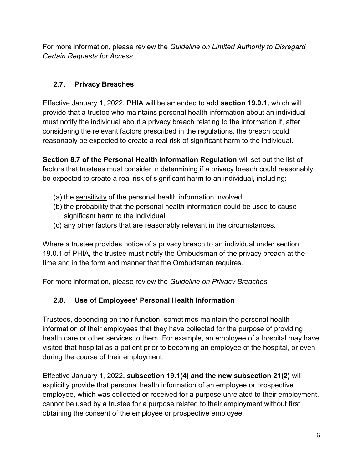For more information, please review the Guideline on Limited Authority to Disregard Certain Requests for Access.

## 2.7. Privacy Breaches

Effective January 1, 2022, PHIA will be amended to add section 19.0.1, which will provide that a trustee who maintains personal health information about an individual must notify the individual about a privacy breach relating to the information if, after considering the relevant factors prescribed in the regulations, the breach could reasonably be expected to create a real risk of significant harm to the individual.

Section 8.7 of the Personal Health Information Regulation will set out the list of factors that trustees must consider in determining if a privacy breach could reasonably be expected to create a real risk of significant harm to an individual, including:

- (a) the sensitivity of the personal health information involved;
- (b) the probability that the personal health information could be used to cause significant harm to the individual;
- (c) any other factors that are reasonably relevant in the circumstances.

Where a trustee provides notice of a privacy breach to an individual under section 19.0.1 of PHIA, the trustee must notify the Ombudsman of the privacy breach at the time and in the form and manner that the Ombudsman requires.

For more information, please review the Guideline on Privacy Breaches.

# 2.8. Use of Employees' Personal Health Information

Trustees, depending on their function, sometimes maintain the personal health information of their employees that they have collected for the purpose of providing health care or other services to them. For example, an employee of a hospital may have visited that hospital as a patient prior to becoming an employee of the hospital, or even during the course of their employment.

Effective January 1, 2022, subsection 19.1(4) and the new subsection 21(2) will explicitly provide that personal health information of an employee or prospective employee, which was collected or received for a purpose unrelated to their employment, cannot be used by a trustee for a purpose related to their employment without first obtaining the consent of the employee or prospective employee.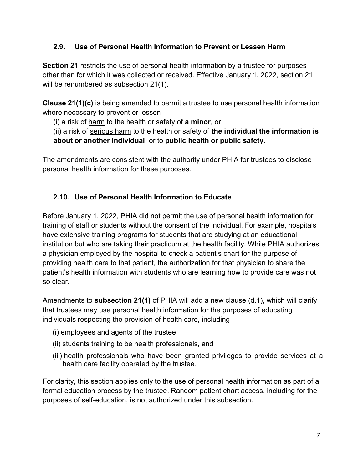#### 2.9. Use of Personal Health Information to Prevent or Lessen Harm

Section 21 restricts the use of personal health information by a trustee for purposes other than for which it was collected or received. Effective January 1, 2022, section 21 will be renumbered as subsection 21(1).

Clause 21(1)(c) is being amended to permit a trustee to use personal health information where necessary to prevent or lessen

(i) a risk of harm to the health or safety of a minor, or

(ii) a risk of serious harm to the health or safety of the individual the information is about or another individual, or to public health or public safety.

The amendments are consistent with the authority under PHIA for trustees to disclose personal health information for these purposes.

#### 2.10. Use of Personal Health Information to Educate

Before January 1, 2022, PHIA did not permit the use of personal health information for training of staff or students without the consent of the individual. For example, hospitals have extensive training programs for students that are studying at an educational institution but who are taking their practicum at the health facility. While PHIA authorizes a physician employed by the hospital to check a patient's chart for the purpose of providing health care to that patient, the authorization for that physician to share the patient's health information with students who are learning how to provide care was not so clear.

Amendments to **subsection 21(1)** of PHIA will add a new clause  $(d.1)$ , which will clarify that trustees may use personal health information for the purposes of educating individuals respecting the provision of health care, including

- (i) employees and agents of the trustee
- (ii) students training to be health professionals, and
- (iii) health professionals who have been granted privileges to provide services at a health care facility operated by the trustee.

For clarity, this section applies only to the use of personal health information as part of a formal education process by the trustee. Random patient chart access, including for the purposes of self-education, is not authorized under this subsection.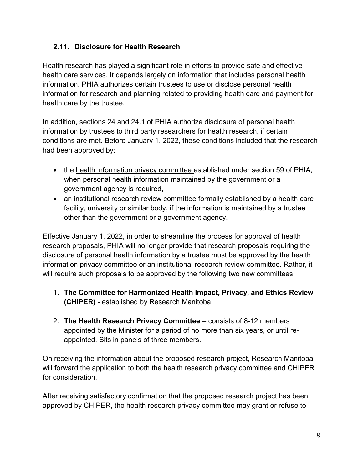### 2.11. Disclosure for Health Research

Health research has played a significant role in efforts to provide safe and effective health care services. It depends largely on information that includes personal health information. PHIA authorizes certain trustees to use or disclose personal health information for research and planning related to providing health care and payment for health care by the trustee.

In addition, sections 24 and 24.1 of PHIA authorize disclosure of personal health information by trustees to third party researchers for health research, if certain conditions are met. Before January 1, 2022, these conditions included that the research had been approved by:

- the health information privacy committee established under section 59 of PHIA, when personal health information maintained by the government or a government agency is required,
- an institutional research review committee formally established by a health care facility, university or similar body, if the information is maintained by a trustee other than the government or a government agency.

Effective January 1, 2022, in order to streamline the process for approval of health research proposals, PHIA will no longer provide that research proposals requiring the disclosure of personal health information by a trustee must be approved by the health information privacy committee or an institutional research review committee. Rather, it will require such proposals to be approved by the following two new committees:

- 1. The Committee for Harmonized Health Impact, Privacy, and Ethics Review (CHIPER) - established by Research Manitoba.
- 2. The Health Research Privacy Committee consists of 8-12 members appointed by the Minister for a period of no more than six years, or until reappointed. Sits in panels of three members.

On receiving the information about the proposed research project, Research Manitoba will forward the application to both the health research privacy committee and CHIPER for consideration.

After receiving satisfactory confirmation that the proposed research project has been approved by CHIPER, the health research privacy committee may grant or refuse to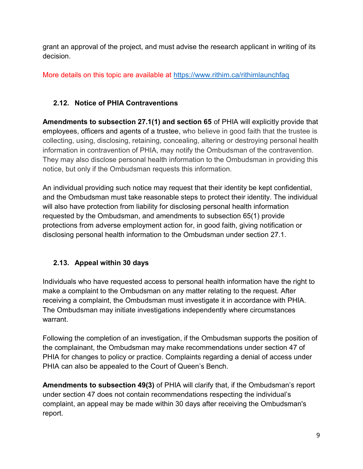grant an approval of the project, and must advise the research applicant in writing of its decision.

More details on this topic are available at https://www.rithim.ca/rithimlaunchfaq

# 2.12. Notice of PHIA Contraventions

Amendments to subsection 27.1(1) and section 65 of PHIA will explicitly provide that employees, officers and agents of a trustee, who believe in good faith that the trustee is collecting, using, disclosing, retaining, concealing, altering or destroying personal health information in contravention of PHIA, may notify the Ombudsman of the contravention. They may also disclose personal health information to the Ombudsman in providing this notice, but only if the Ombudsman requests this information.

An individual providing such notice may request that their identity be kept confidential, and the Ombudsman must take reasonable steps to protect their identity. The individual will also have protection from liability for disclosing personal health information requested by the Ombudsman, and amendments to subsection 65(1) provide protections from adverse employment action for, in good faith, giving notification or disclosing personal health information to the Ombudsman under section 27.1.

# 2.13. Appeal within 30 days

Individuals who have requested access to personal health information have the right to make a complaint to the Ombudsman on any matter relating to the request. After receiving a complaint, the Ombudsman must investigate it in accordance with PHIA. The Ombudsman may initiate investigations independently where circumstances warrant.

Following the completion of an investigation, if the Ombudsman supports the position of the complainant, the Ombudsman may make recommendations under section 47 of PHIA for changes to policy or practice. Complaints regarding a denial of access under PHIA can also be appealed to the Court of Queen's Bench.

Amendments to subsection 49(3) of PHIA will clarify that, if the Ombudsman's report under section 47 does not contain recommendations respecting the individual's complaint, an appeal may be made within 30 days after receiving the Ombudsman's report.